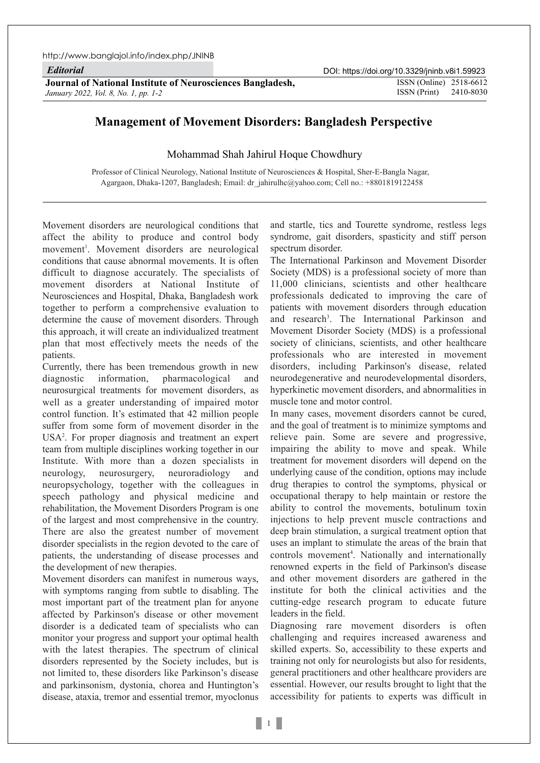*Editorial*

**Journal of National Institute of Neurosciences Bangladesh, ISSN (Online) 2518-6612** *January 2022, Vol. 8, No. 1, pp. 1-2*

ISSN (Print) 2410-8030

## **Management of Movement Disorders: Bangladesh Perspective**

## Mohammad Shah Jahirul Hoque Chowdhury

Professor of Clinical Neurology, National Institute of Neurosciences & Hospital, Sher-E-Bangla Nagar, Agargaon, Dhaka-1207, Bangladesh; Email: dr\_jahirulhc@yahoo.com; Cell no.: +8801819122458

Movement disorders are neurological conditions that affect the ability to produce and control body movement<sup>1</sup>. Movement disorders are neurological conditions that cause abnormal movements. It is often difficult to diagnose accurately. The specialists of movement disorders at National Institute of Neurosciences and Hospital, Dhaka, Bangladesh work together to perform a comprehensive evaluation to determine the cause of movement disorders. Through this approach, it will create an individualized treatment plan that most effectively meets the needs of the patients.

Currently, there has been tremendous growth in new diagnostic information, pharmacological and neurosurgical treatments for movement disorders, as well as a greater understanding of impaired motor control function. It's estimated that 42 million people suffer from some form of movement disorder in the USA2 . For proper diagnosis and treatment an expert team from multiple disciplines working together in our Institute. With more than a dozen specialists in neurology, neurosurgery, neuroradiology and neuropsychology, together with the colleagues in speech pathology and physical medicine and rehabilitation, the Movement Disorders Program is one of the largest and most comprehensive in the country. There are also the greatest number of movement disorder specialists in the region devoted to the care of patients, the understanding of disease processes and the development of new therapies.

Movement disorders can manifest in numerous ways, with symptoms ranging from subtle to disabling. The most important part of the treatment plan for anyone affected by Parkinson's disease or other movement disorder is a dedicated team of specialists who can monitor your progress and support your optimal health with the latest therapies. The spectrum of clinical disorders represented by the Society includes, but is not limited to, these disorders like Parkinson's disease and parkinsonism, dystonia, chorea and Huntington's disease, ataxia, tremor and essential tremor, myoclonus

and startle, tics and Tourette syndrome, restless legs syndrome, gait disorders, spasticity and stiff person spectrum disorder.

The International Parkinson and Movement Disorder Society (MDS) is a professional society of more than 11,000 clinicians, scientists and other healthcare professionals dedicated to improving the care of patients with movement disorders through education and research<sup>3</sup>. The International Parkinson and Movement Disorder Society (MDS) is a professional society of clinicians, scientists, and other healthcare professionals who are interested in movement disorders, including Parkinson's disease, related neurodegenerative and neurodevelopmental disorders, hyperkinetic movement disorders, and abnormalities in muscle tone and motor control.

In many cases, movement disorders cannot be cured, and the goal of treatment is to minimize symptoms and relieve pain. Some are severe and progressive, impairing the ability to move and speak. While treatment for movement disorders will depend on the underlying cause of the condition, options may include drug therapies to control the symptoms, physical or occupational therapy to help maintain or restore the ability to control the movements, botulinum toxin injections to help prevent muscle contractions and deep brain stimulation, a surgical treatment option that uses an implant to stimulate the areas of the brain that controls movement<sup>4</sup>. Nationally and internationally renowned experts in the field of Parkinson's disease and other movement disorders are gathered in the institute for both the clinical activities and the cutting-edge research program to educate future leaders in the field.

Diagnosing rare movement disorders is often challenging and requires increased awareness and skilled experts. So, accessibility to these experts and training not only for neurologists but also for residents, general practitioners and other healthcare providers are essential. However, our results brought to light that the accessibility for patients to experts was difficult in